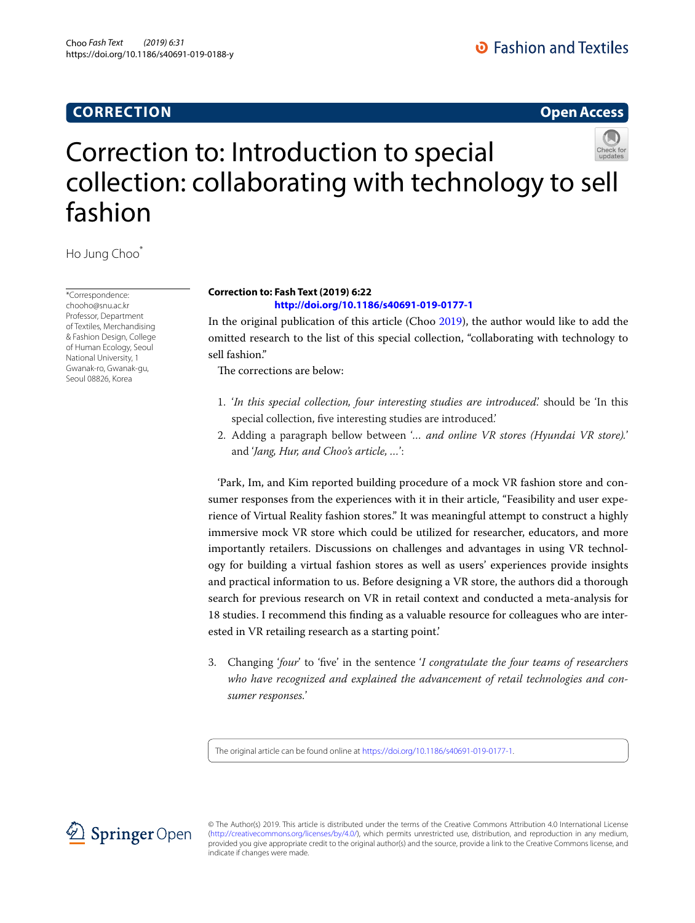# **CORRECTION**

**Open Access**

# Correction to: Introduction to special collection: collaborating with technology to sell fashion

Ho Jung Choo\*

\*Correspondence: chooho@snu.ac.kr Professor, Department of Textiles, Merchandising & Fashion Design, College of Human Ecology, Seoul National University, 1 Gwanak-ro, Gwanak-gu, Seoul 08826, Korea

## **Correction to: Fash Text (2019) 6:22 <http://doi.org/10.1186/s40691-019-0177-1>**

In the original publication of this article (Choo [2019](#page-1-0)), the author would like to add the omitted research to the list of this special collection, "collaborating with technology to sell fashion."

The corrections are below:

- 1. '*In this special collection, four interesting studies are introduced*.' should be 'In this special collection, fve interesting studies are introduced.'
- 2. Adding a paragraph bellow between '*… and online VR stores (Hyundai VR store).*' and '*Jang, Hur, and Choo's article, …*':

'Park, Im, and Kim reported building procedure of a mock VR fashion store and consumer responses from the experiences with it in their article, "Feasibility and user experience of Virtual Reality fashion stores." It was meaningful attempt to construct a highly immersive mock VR store which could be utilized for researcher, educators, and more importantly retailers. Discussions on challenges and advantages in using VR technology for building a virtual fashion stores as well as users' experiences provide insights and practical information to us. Before designing a VR store, the authors did a thorough search for previous research on VR in retail context and conducted a meta-analysis for 18 studies. I recommend this fnding as a valuable resource for colleagues who are interested in VR retailing research as a starting point.'

3. Changing '*four*' to 'fve' in the sentence '*I congratulate the four teams of researchers who have recognized and explained the advancement of retail technologies and consumer responses.*'

The original article can be found online at <https://doi.org/10.1186/s40691-019-0177-1>.



© The Author(s) 2019. This article is distributed under the terms of the Creative Commons Attribution 4.0 International License [\(http://creativecommons.org/licenses/by/4.0/](http://creativecommons.org/licenses/by/4.0/)), which permits unrestricted use, distribution, and reproduction in any medium, provided you give appropriate credit to the original author(s) and the source, provide a link to the Creative Commons license, and indicate if changes were made.